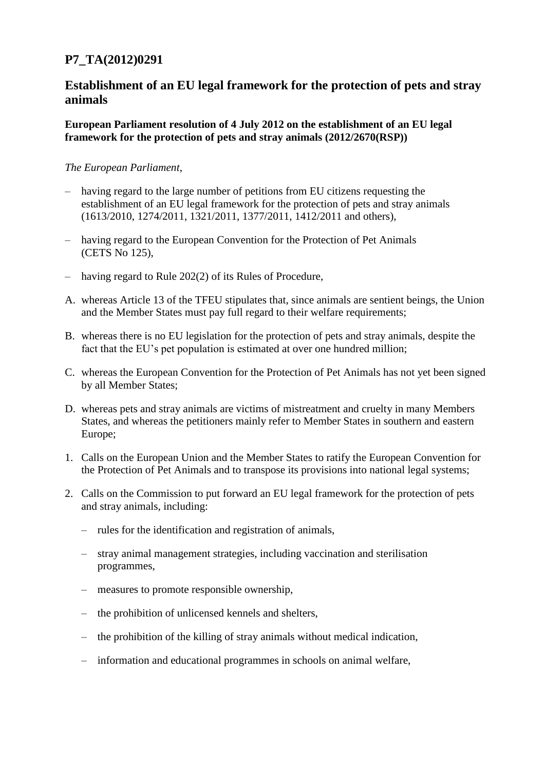## **P7\_TA(2012)0291**

## **Establishment of an EU legal framework for the protection of pets and stray animals**

**European Parliament resolution of 4 July 2012 on the establishment of an EU legal framework for the protection of pets and stray animals (2012/2670(RSP))**

## *The European Parliament*,

- having regard to the large number of petitions from EU citizens requesting the establishment of an EU legal framework for the protection of pets and stray animals (1613/2010, 1274/2011, 1321/2011, 1377/2011, 1412/2011 and others),
- having regard to the European Convention for the Protection of Pet Animals (CETS No 125),
- having regard to Rule 202(2) of its Rules of Procedure,
- A. whereas Article 13 of the TFEU stipulates that, since animals are sentient beings, the Union and the Member States must pay full regard to their welfare requirements;
- B. whereas there is no EU legislation for the protection of pets and stray animals, despite the fact that the EU's pet population is estimated at over one hundred million;
- C. whereas the European Convention for the Protection of Pet Animals has not yet been signed by all Member States;
- D. whereas pets and stray animals are victims of mistreatment and cruelty in many Members States, and whereas the petitioners mainly refer to Member States in southern and eastern Europe;
- 1. Calls on the European Union and the Member States to ratify the European Convention for the Protection of Pet Animals and to transpose its provisions into national legal systems;
- 2. Calls on the Commission to put forward an EU legal framework for the protection of pets and stray animals, including:
	- rules for the identification and registration of animals,
	- stray animal management strategies, including vaccination and sterilisation programmes,
	- measures to promote responsible ownership,
	- the prohibition of unlicensed kennels and shelters,
	- the prohibition of the killing of stray animals without medical indication,
	- information and educational programmes in schools on animal welfare,